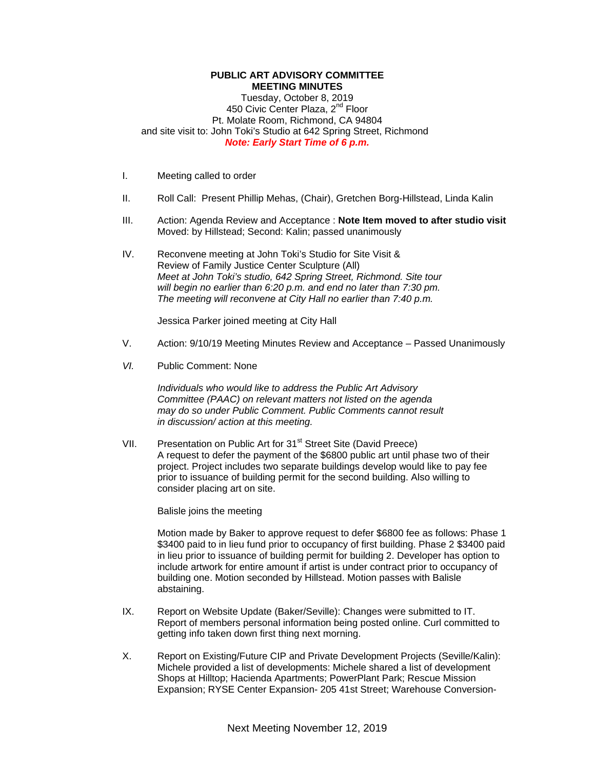## **PUBLIC ART ADVISORY COMMITTEE MEETING MINUTES**  Tuesday, October 8, 2019 450 Civic Center Plaza, 2<sup>nd</sup> Floor Pt. Molate Room, Richmond, CA 94804 and site visit to: John Toki's Studio at 642 Spring Street, Richmond *Note: Early Start Time of 6 p.m.*

- I. Meeting called to order
- II. Roll Call: Present Phillip Mehas, (Chair), Gretchen Borg-Hillstead, Linda Kalin
- III. Action: Agenda Review and Acceptance : **Note Item moved to after studio visit** Moved: by Hillstead; Second: Kalin; passed unanimously
- IV. Reconvene meeting at John Toki's Studio for Site Visit & Review of Family Justice Center Sculpture (All) *Meet at John Toki's studio, 642 Spring Street, Richmond. Site tour will begin no earlier than 6:20 p.m. and end no later than 7:30 pm. The meeting will reconvene at City Hall no earlier than 7:40 p.m.*

Jessica Parker joined meeting at City Hall

- V. Action: 9/10/19 Meeting Minutes Review and Acceptance Passed Unanimously
- *VI.* Public Comment: None

*Individuals who would like to address the Public Art Advisory Committee (PAAC) on relevant matters not listed on the agenda may do so under Public Comment. Public Comments cannot result in discussion/ action at this meeting.*

VII. Presentation on Public Art for 31<sup>st</sup> Street Site (David Preece) A request to defer the payment of the \$6800 public art until phase two of their project. Project includes two separate buildings develop would like to pay fee prior to issuance of building permit for the second building. Also willing to consider placing art on site.

Balisle joins the meeting

Motion made by Baker to approve request to defer \$6800 fee as follows: Phase 1 \$3400 paid to in lieu fund prior to occupancy of first building. Phase 2 \$3400 paid in lieu prior to issuance of building permit for building 2. Developer has option to include artwork for entire amount if artist is under contract prior to occupancy of building one. Motion seconded by Hillstead. Motion passes with Balisle abstaining.

- IX. Report on Website Update (Baker/Seville): Changes were submitted to IT. Report of members personal information being posted online. Curl committed to getting info taken down first thing next morning.
- X. Report on Existing/Future CIP and Private Development Projects (Seville/Kalin): Michele provided a list of developments: Michele shared a list of development Shops at Hilltop; Hacienda Apartments; PowerPlant Park; Rescue Mission Expansion; RYSE Center Expansion- 205 41st Street; Warehouse Conversion-